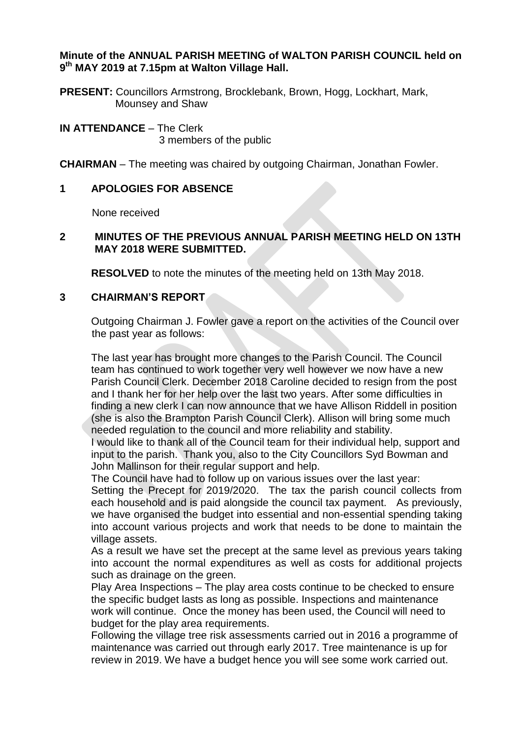#### **Minute of the ANNUAL PARISH MEETING of WALTON PARISH COUNCIL held on 9 th MAY 2019 at 7.15pm at Walton Village Hall.**

**PRESENT:** Councillors Armstrong, Brocklebank, Brown, Hogg, Lockhart, Mark, Mounsey and Shaw

**IN ATTENDANCE** – The Clerk 3 members of the public

**CHAIRMAN** – The meeting was chaired by outgoing Chairman, Jonathan Fowler.

## **1 APOLOGIES FOR ABSENCE**

None received

## **2 MINUTES OF THE PREVIOUS ANNUAL PARISH MEETING HELD ON 13TH MAY 2018 WERE SUBMITTED.**

**RESOLVED** to note the minutes of the meeting held on 13th May 2018.

### **3 CHAIRMAN'S REPORT**

Outgoing Chairman J. Fowler gave a report on the activities of the Council over the past year as follows:

The last year has brought more changes to the Parish Council. The Council team has continued to work together very well however we now have a new Parish Council Clerk. December 2018 Caroline decided to resign from the post and I thank her for her help over the last two years. After some difficulties in finding a new clerk I can now announce that we have Allison Riddell in position (she is also the Brampton Parish Council Clerk). Allison will bring some much needed regulation to the council and more reliability and stability.

I would like to thank all of the Council team for their individual help, support and input to the parish. Thank you, also to the City Councillors Syd Bowman and John Mallinson for their regular support and help.

The Council have had to follow up on various issues over the last year:

Setting the Precept for 2019/2020. The tax the parish council collects from each household and is paid alongside the council tax payment. As previously, we have organised the budget into essential and non-essential spending taking into account various projects and work that needs to be done to maintain the village assets.

As a result we have set the precept at the same level as previous years taking into account the normal expenditures as well as costs for additional projects such as drainage on the green.

Play Area Inspections – The play area costs continue to be checked to ensure the specific budget lasts as long as possible. Inspections and maintenance work will continue. Once the money has been used, the Council will need to budget for the play area requirements.

Following the village tree risk assessments carried out in 2016 a programme of maintenance was carried out through early 2017. Tree maintenance is up for review in 2019. We have a budget hence you will see some work carried out.